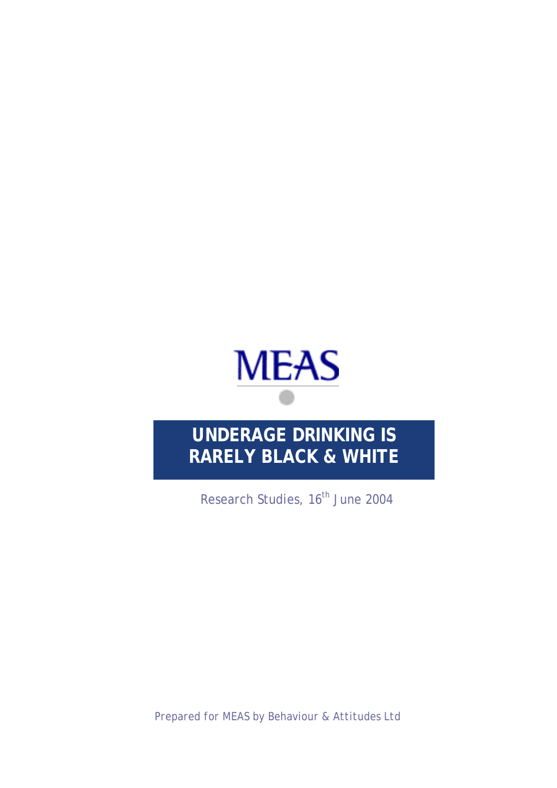

# **UNDERAGE DRINKING IS RARELY BLACK & WHITE**

Research Studies, 16<sup>th</sup> June 2004

*Prepared for MEAS by Behaviour & Attitudes Ltd*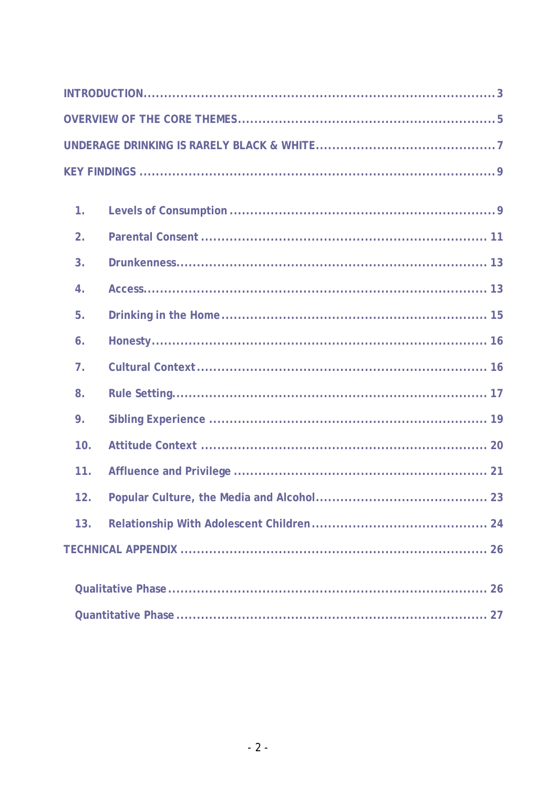| 1.             |  |
|----------------|--|
| 2 <sub>1</sub> |  |
| 3.             |  |
| 4.             |  |
| 5.             |  |
| 6.             |  |
| 7 <sub>1</sub> |  |
| 8.             |  |
| 9.             |  |
| 10.            |  |
| 11.            |  |
| 12.            |  |
| 13.            |  |
|                |  |
|                |  |
|                |  |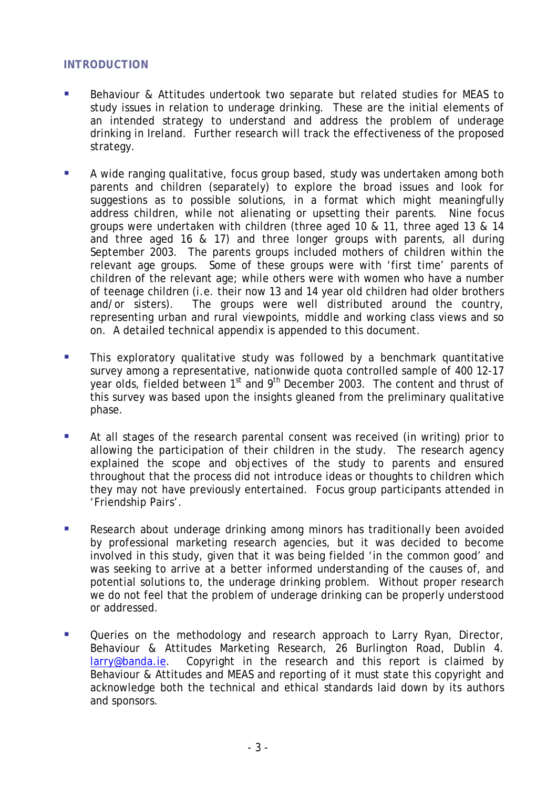#### <span id="page-2-0"></span>**INTRODUCTION**

- Behaviour & Attitudes undertook two separate but related studies for MEAS to study issues in relation to underage drinking. These are the initial elements of an intended strategy to understand and address the problem of underage drinking in Ireland. Further research will track the effectiveness of the proposed strategy.
- A wide ranging qualitative, focus group based, study was undertaken among both parents and children (separately) to explore the broad issues and look for suggestions as to possible solutions, in a format which might meaningfully address children, while not alienating or upsetting their parents. Nine focus groups were undertaken with children (three aged 10 & 11, three aged 13 & 14 and three aged 16 & 17) and three longer groups with parents, all during September 2003. The parents groups included mothers of children within the relevant age groups. Some of these groups were with 'first time' parents of children of the relevant age; while others were with women who have a number of teenage children (i.e. their now 13 and 14 year old children had older brothers and/or sisters). The groups were well distributed around the country, representing urban and rural viewpoints, middle and working class views and so on. A detailed technical appendix is appended to this document.
- This exploratory qualitative study was followed by a benchmark quantitative survey among a representative, nationwide quota controlled sample of 400 12-17 year olds, fielded between 1<sup>st</sup> and 9<sup>th</sup> December 2003. The content and thrust of this survey was based upon the insights gleaned from the preliminary qualitative phase.
- At all stages of the research parental consent was received (in writing) prior to allowing the participation of their children in the study. The research agency explained the scope and objectives of the study to parents and ensured throughout that the process did not introduce ideas or thoughts to children which they may not have previously entertained. Focus group participants attended in 'Friendship Pairs'.
- **Research about underage drinking among minors has traditionally been avoided** by professional marketing research agencies, but it was decided to become involved in this study, given that it was being fielded 'in the common good' and was seeking to arrive at a better informed understanding of the causes of, and potential solutions to, the underage drinking problem. Without proper research we do not feel that the problem of underage drinking can be properly understood or addressed.
- **Dueries on the methodology and research approach to Larry Ryan, Director,** Behaviour & Attitudes Marketing Research, 26 Burlington Road, Dublin 4. [larry@banda.ie.](mailto:larry@banda.ie) Copyright in the research and this report is claimed by Behaviour & Attitudes and MEAS and reporting of it must state this copyright and acknowledge both the technical and ethical standards laid down by its authors and sponsors.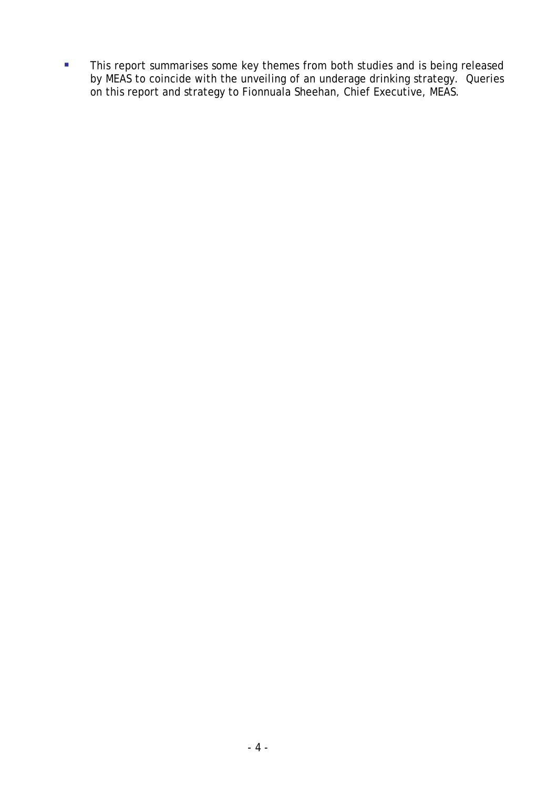**This report summarises some key themes from both studies and is being released** by MEAS to coincide with the unveiling of an underage drinking strategy. Queries on this report and strategy to Fionnuala Sheehan, Chief Executive, MEAS.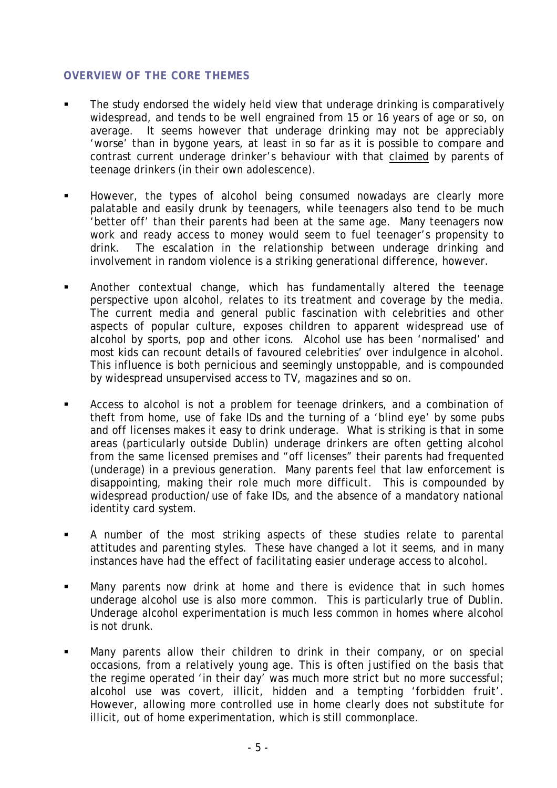## <span id="page-4-0"></span>**OVERVIEW OF THE CORE THEMES**

- The study endorsed the widely held view that underage drinking is comparatively widespread, and tends to be well engrained from 15 or 16 years of age or so, on average. It seems however that underage drinking may not be appreciably 'worse' than in bygone years, at least in so far as it is possible to compare and contrast current underage drinker's behaviour with that claimed by parents of teenage drinkers (in their own adolescence).
- However, the types of alcohol being consumed nowadays are clearly more palatable and easily drunk by teenagers, while teenagers also tend to be much 'better off' than their parents had been at the same age. Many teenagers now work and ready access to money would seem to fuel teenager's propensity to drink. The escalation in the relationship between underage drinking and involvement in random violence is a striking generational difference, however.
- Another contextual change, which has fundamentally altered the teenage perspective upon alcohol, relates to its treatment and coverage by the media. The current media and general public fascination with celebrities and other aspects of popular culture, exposes children to apparent widespread use of alcohol by sports, pop and other icons. Alcohol use has been 'normalised' and most kids can recount details of favoured celebrities' over indulgence in alcohol. This influence is both pernicious and seemingly unstoppable, and is compounded by widespread unsupervised access to TV, magazines and so on.
- Access to alcohol is not a problem for teenage drinkers, and a combination of theft from home, use of fake IDs and the turning of a 'blind eye' by some pubs and off licenses makes it easy to drink underage. What is striking is that in some areas (particularly outside Dublin) underage drinkers are often getting alcohol from the same licensed premises and "off licenses" their parents had frequented (underage) in a previous generation. Many parents feel that law enforcement is disappointing, making their role much more difficult. This is compounded by widespread production/use of fake IDs, and the absence of a mandatory national identity card system.
- A number of the most striking aspects of these studies relate to parental attitudes and parenting styles. These have changed a lot it seems, and in many instances have had the effect of facilitating easier underage access to alcohol.
- Many parents now drink at home and there is evidence that in such homes underage alcohol use is also more common. This is particularly true of Dublin. Underage alcohol experimentation is much less common in homes where alcohol is not drunk.
- Many parents allow their children to drink in their company, or on special occasions, from a relatively young age. This is often justified on the basis that the regime operated 'in their day' was much more strict but no more successful; alcohol use was covert, illicit, hidden and a tempting 'forbidden fruit'. However, allowing more controlled use in home clearly does not substitute for illicit, out of home experimentation, which is still commonplace.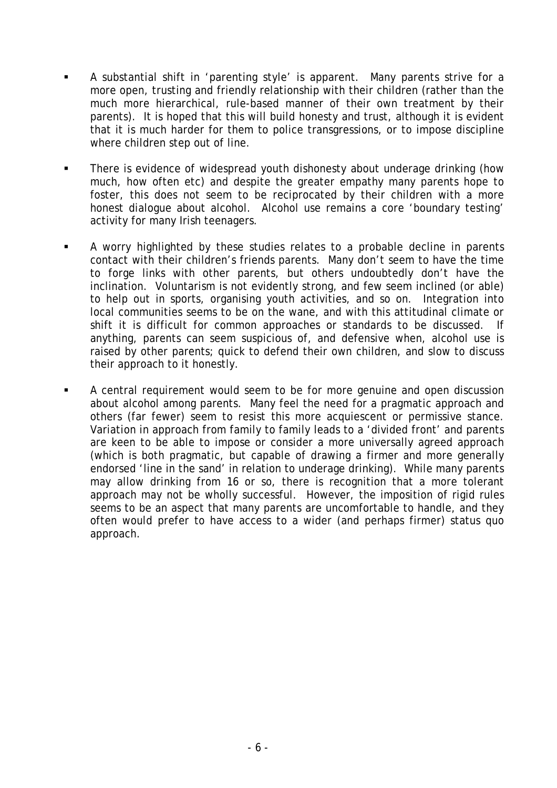- A substantial shift in 'parenting style' is apparent. Many parents strive for a more open, trusting and friendly relationship with their children (rather than the much more hierarchical, rule-based manner of their own treatment by their parents). It is hoped that this will build honesty and trust, although it is evident that it is much harder for them to police transgressions, or to impose discipline where children step out of line.
- There is evidence of widespread youth dishonesty about underage drinking (how much, how often etc) and despite the greater empathy many parents hope to foster, this does not seem to be reciprocated by their children with a more honest dialogue about alcohol. Alcohol use remains a core 'boundary testing' activity for many Irish teenagers.
- A worry highlighted by these studies relates to a probable decline in parents contact with their children's friends parents. Many don't seem to have the time to forge links with other parents, but others undoubtedly don't have the inclination. Voluntarism is not evidently strong, and few seem inclined (or able) to help out in sports, organising youth activities, and so on. Integration into local communities seems to be on the wane, and with this attitudinal climate or shift it is difficult for common approaches or standards to be discussed. If anything, parents can seem suspicious of, and defensive when, alcohol use is raised by other parents; quick to defend their own children, and slow to discuss their approach to it honestly.
- A central requirement would seem to be for more genuine and open discussion about alcohol among parents. Many feel the need for a pragmatic approach and others (far fewer) seem to resist this more acquiescent or permissive stance. Variation in approach from family to family leads to a 'divided front' and parents are keen to be able to impose or consider a more universally agreed approach (which is both pragmatic, but capable of drawing a firmer and more generally endorsed 'line in the sand' in relation to underage drinking). While many parents may allow drinking from 16 or so, there is recognition that a more tolerant approach may not be wholly successful. However, the imposition of rigid rules seems to be an aspect that many parents are uncomfortable to handle, and they often would prefer to have access to a wider (and perhaps firmer) status quo approach.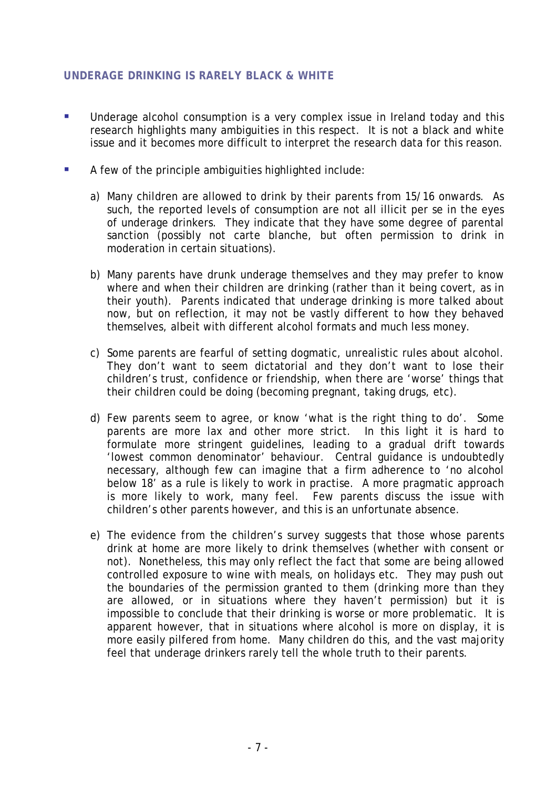# <span id="page-6-0"></span>**UNDERAGE DRINKING IS RARELY BLACK & WHITE**

- **Underage alcohol consumption is a very complex issue in Ireland today and this** research highlights many ambiguities in this respect. It is not a black and white issue and it becomes more difficult to interpret the research data for this reason.
- A few of the principle ambiguities highlighted include:
	- a) Many children are allowed to drink by their parents from 15/16 onwards. As such, the reported levels of consumption are not all illicit per se in the eyes of underage drinkers. They indicate that they have some degree of parental sanction (possibly not carte blanche, but often permission to drink in moderation in certain situations).
	- b) Many parents have drunk underage themselves and they may prefer to know where and when their children are drinking (rather than it being covert, as in their youth). Parents indicated that underage drinking is more talked about now, but on reflection, it may not be vastly different to how they behaved themselves, albeit with different alcohol formats and much less money.
	- c) Some parents are fearful of setting dogmatic, unrealistic rules about alcohol. They don't want to seem dictatorial and they don't want to lose their children's trust, confidence or friendship, when there are 'worse' things that their children could be doing (becoming pregnant, taking drugs, etc).
	- d) Few parents seem to agree, or know 'what is the right thing to do'. Some parents are more lax and other more strict. In this light it is hard to formulate more stringent guidelines, leading to a gradual drift towards 'lowest common denominator' behaviour. Central guidance is undoubtedly necessary, although few can imagine that a firm adherence to 'no alcohol below 18' as a rule is likely to work in practise. A more pragmatic approach is more likely to work, many feel. Few parents discuss the issue with children's other parents however, and this is an unfortunate absence.
	- e) The evidence from the children's survey suggests that those whose parents drink at home are more likely to drink themselves (whether with consent or not). Nonetheless, this may only reflect the fact that some are being allowed controlled exposure to wine with meals, on holidays etc. They may push out the boundaries of the permission granted to them (drinking more than they are allowed, or in situations where they haven't permission) but it is impossible to conclude that their drinking is worse or more problematic. It is apparent however, that in situations where alcohol is more on display, it is more easily pilfered from home. Many children do this, and the vast majority feel that underage drinkers rarely tell the whole truth to their parents.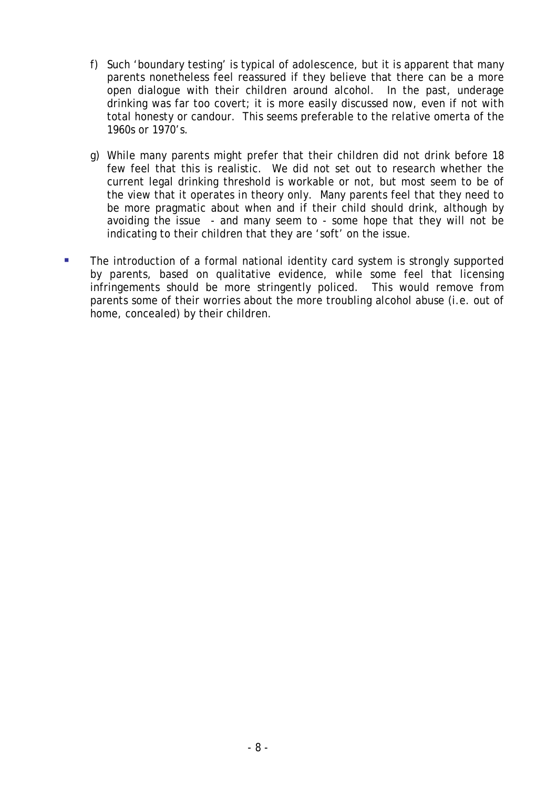- f) Such 'boundary testing' is typical of adolescence, but it is apparent that many parents nonetheless feel reassured if they believe that there can be a more open dialogue with their children around alcohol. In the past, underage drinking was far too covert; it is more easily discussed now, even if not with total honesty or candour. This seems preferable to the relative omerta of the 1960s or 1970's.
- g) While many parents might prefer that their children did not drink before 18 few feel that this is realistic. We did not set out to research whether the current legal drinking threshold is workable or not, but most seem to be of the view that it operates in theory only. Many parents feel that they need to be more pragmatic about when and if their child should drink, although by avoiding the issue - and many seem to - some hope that they will not be indicating to their children that they are 'soft' on the issue.
- The introduction of a formal national identity card system is strongly supported by parents, based on qualitative evidence, while some feel that licensing infringements should be more stringently policed. This would remove from parents some of their worries about the more troubling alcohol abuse (i.e. out of home, concealed) by their children.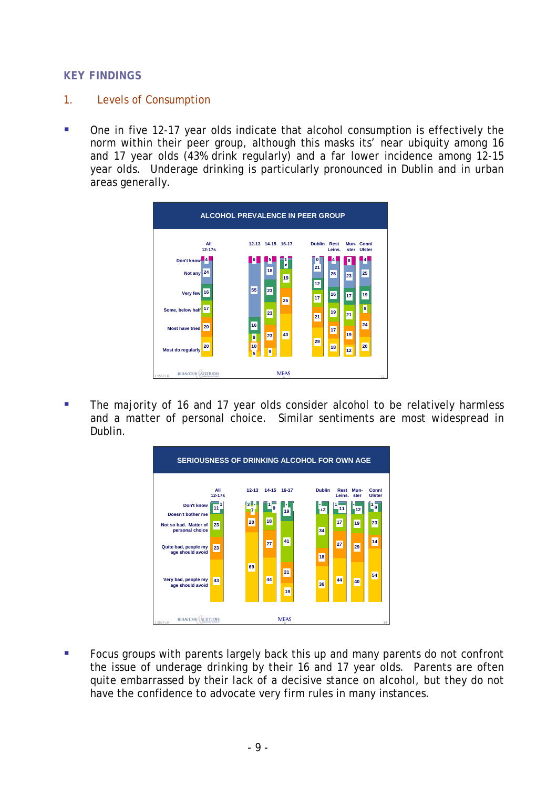#### <span id="page-8-0"></span>**KEY FINDINGS**

- 1. Levels of Consumption
- One in five 12-17 year olds indicate that alcohol consumption is effectively the norm within their peer group, although this masks its' near ubiquity among 16 and 17 year olds (43% drink regularly) and a far lower incidence among 12-15 year olds. Underage drinking is particularly pronounced in Dublin and in urban areas generally.



 The majority of 16 and 17 year olds consider alcohol to be relatively harmless and a matter of personal choice. Similar sentiments are most widespread in Dublin.



Focus groups with parents largely back this up and many parents do not confront the issue of underage drinking by their 16 and 17 year olds. Parents are often quite embarrassed by their lack of a decisive stance on alcohol, but they do not have the confidence to advocate very firm rules in many instances.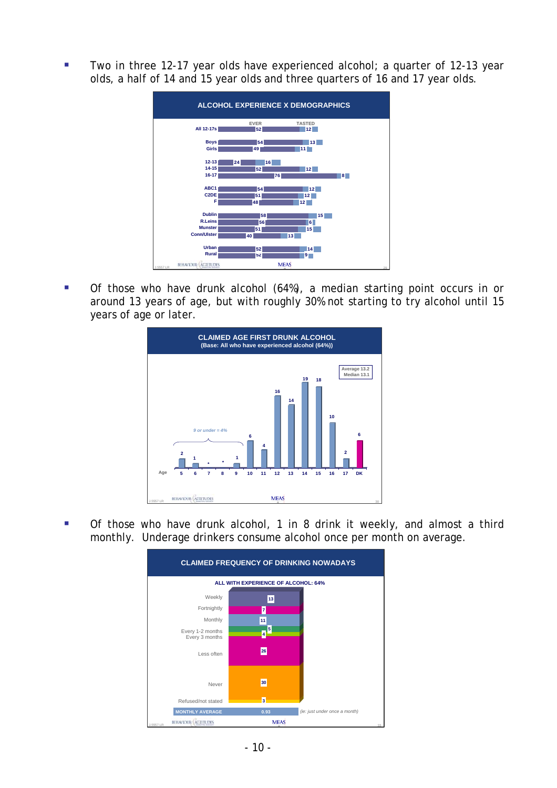Two in three 12-17 year olds have experienced alcohol; a quarter of 12-13 year olds, a half of 14 and 15 year olds and three quarters of 16 and 17 year olds.



 Of those who have drunk alcohol (64%), a median starting point occurs in or around 13 years of age, but with roughly 30% not starting to try alcohol until 15 years of age or later.



 Of those who have drunk alcohol, 1 in 8 drink it weekly, and almost a third monthly. Underage drinkers consume alcohol once per month on average.

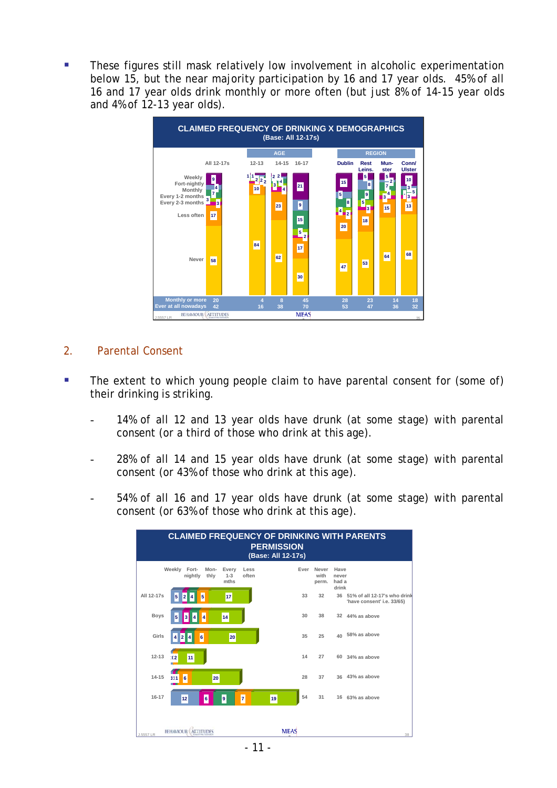<span id="page-10-0"></span> These figures still mask relatively low involvement in alcoholic experimentation below 15, but the near majority participation by 16 and 17 year olds. 45% of all 16 and 17 year olds drink monthly or more often (but just 8% of 14-15 year olds and 4% of 12-13 year olds).



#### 2. Parental Consent

- The extent to which young people claim to have parental consent for (some of) their drinking is striking.
	- 14% of all 12 and 13 year olds have drunk (at some stage) with parental consent (or a third of those who drink at this age).
	- 28% of all 14 and 15 year olds have drunk (at some stage) with parental consent (or 43% of those who drink at this age).
	- 54% of all 16 and 17 year olds have drunk (at some stage) with parental consent (or 63% of those who drink at this age).

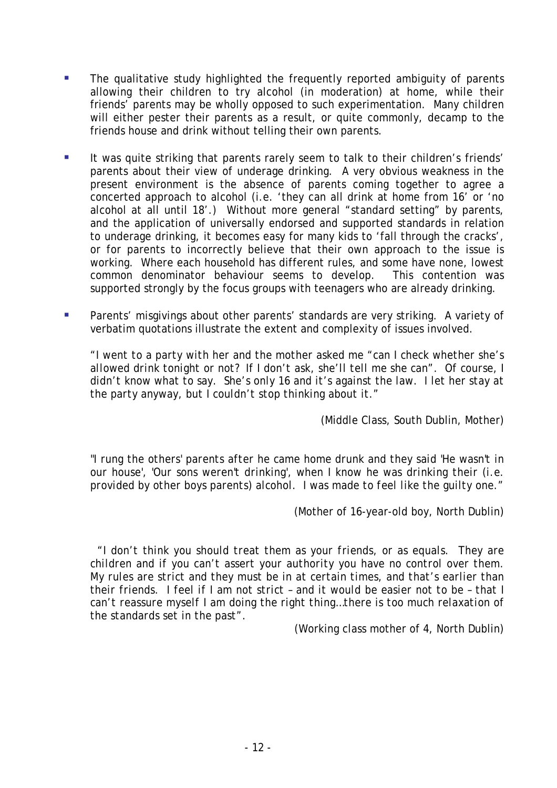- The qualitative study highlighted the frequently reported ambiguity of parents allowing their children to try alcohol (in moderation) at home, while their friends' parents may be wholly opposed to such experimentation. Many children will either pester their parents as a result, or quite commonly, decamp to the friends house and drink without telling their own parents.
- It was quite striking that parents rarely seem to talk to their children's friends' parents about their view of underage drinking. A very obvious weakness in the present environment is the absence of parents coming together to agree a concerted approach to alcohol (i.e. 'they can all drink at home from 16' or 'no alcohol at all until 18'.) Without more general "standard setting" by parents, and the application of universally endorsed and supported standards in relation to underage drinking, it becomes easy for many kids to 'fall through the cracks', or for parents to incorrectly believe that their own approach to the issue is working. Where each household has different rules, and some have none, lowest common denominator behaviour seems to develop. This contention was supported strongly by the focus groups with teenagers who are already drinking.
- Parents' misgivings about other parents' standards are very striking. A variety of verbatim quotations illustrate the extent and complexity of issues involved.

*"I went to a party with her and the mother asked me "can I check whether she's allowed drink tonight or not? If I don't ask, she'll tell me she can". Of course, I didn't know what to say. She's only 16 and it's against the law. I let her stay at the party anyway, but I couldn't stop thinking about it."* 

(Middle Class, South Dublin, Mother)

"*I rung the others' parents after he came home drunk and they said 'He wasn't in our house', 'Our sons weren't drinking', when I know he was drinking their (i.e. provided by other boys parents) alcohol. I was made to feel like the guilty one."* 

(Mother of 16-year-old boy, North Dublin)

*"I don't think you should treat them as your friends, or as equals. They are children and if you can't assert your authority you have no control over them. My rules are strict and they must be in at certain times, and that's earlier than their friends. I feel if I am not strict – and it would be easier not to be – that I can't reassure myself I am doing the right thing…there is too much relaxation of the standards set in the past".* 

(Working class mother of 4, North Dublin)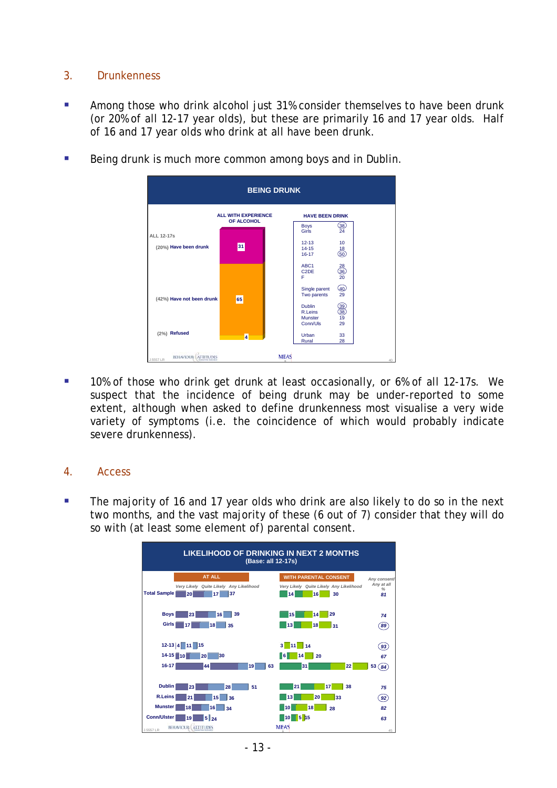## <span id="page-12-0"></span>3. Drunkenness

- **Among those who drink alcohol just 31% consider themselves to have been drunk** (or 20% of all 12-17 year olds), but these are primarily 16 and 17 year olds. Half of 16 and 17 year olds who drink at all have been drunk.
- Being drunk is much more common among boys and in Dublin.



 10% of those who drink get drunk at least occasionally, or 6% of all 12-17s. We suspect that the incidence of being drunk may be under-reported to some extent, although when asked to define drunkenness most visualise a very wide variety of symptoms (i.e. the coincidence of which would probably indicate severe drunkenness).

#### 4. Access

The majority of 16 and 17 year olds who drink are also likely to do so in the next two months, and the vast majority of these (6 out of 7) consider that they will do so with (at least some element of) parental consent.

| <b>LIKELIHOOD OF DRINKING IN NEXT 2 MONTHS</b><br>(Base: all 12-17s)                                                                        |                                                                                           |                                                   |  |  |  |  |  |  |
|---------------------------------------------------------------------------------------------------------------------------------------------|-------------------------------------------------------------------------------------------|---------------------------------------------------|--|--|--|--|--|--|
| <b>AT ALL</b><br>Very Likely Quite Likely Any Likelihood<br><b>Total Sample</b><br>37<br>20<br>17                                           | <b>WITH PARENTAL CONSENT</b><br>Very Likely Quite Likely Any Likelihood<br>14<br>16<br>30 | Any consent/<br>Any at all<br>$\frac{9}{6}$<br>81 |  |  |  |  |  |  |
| 39<br><b>Boys</b><br>23<br>16<br>Girls<br>18<br>17<br>35                                                                                    | 29<br>15<br>14<br>13<br>18<br>31                                                          | 74<br>$^{89}$                                     |  |  |  |  |  |  |
| $12-13$ $4$ 11 15<br>$14 - 15$ 10<br>20<br>30<br>$16 - 17$<br>63<br>44<br>19                                                                | 3<br>$-11$<br>14<br>20<br><b>6</b><br>14<br>31<br>22                                      | $\left[ 93\right]$<br>67<br>53<br>84)             |  |  |  |  |  |  |
| <b>Dublin</b><br>51<br>23<br>28<br><b>R.Leins</b><br>15<br>21<br>36<br><b>Munster</b><br>18<br>16<br>34<br><b>Conn/Ulster</b><br>5124<br>19 | 38<br>21<br>17<br>20<br>33<br>13<br>18<br>10<br>28<br>$\frac{1}{5}$ 15<br>l 10            | 75<br>92)<br>82<br>63                             |  |  |  |  |  |  |
| BEHAVIOUR ATTITUDES<br>1,5557 LR                                                                                                            | <b>MEAS</b>                                                                               | 45                                                |  |  |  |  |  |  |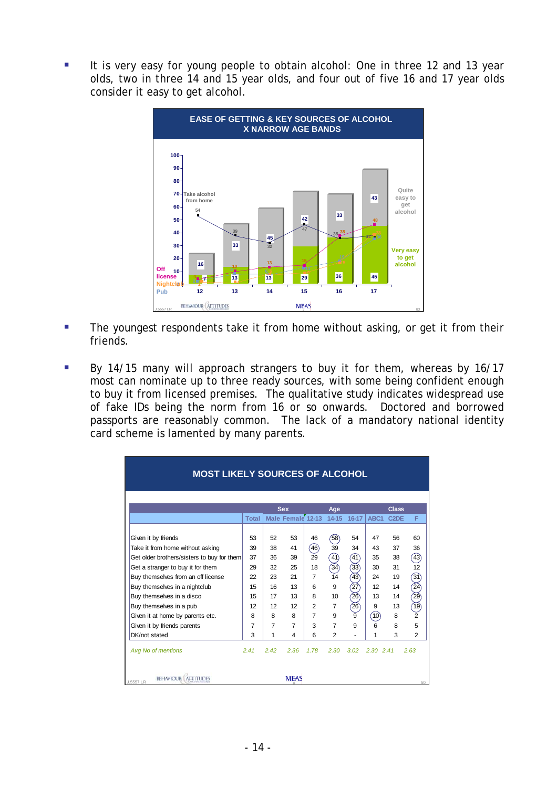$\overline{\phantom{a}}$ consider it easy to get alcohol. It is very easy for young people to obtain alcohol: One in three 12 and 13 year olds, two in three 14 and 15 year olds, and four out of five 16 and 17 year olds



- **The youngest respondents take it from home without asking, or get it from their** friends.
- By 14/15 many will approach strangers to buy it for them, whereas by 16/17 most can nominate up to three ready sources, with some being confident enough to buy it from licensed premises. The qualitative study indicates widespread use of fake IDs being the norm from 16 or so onwards. Doctored and borrowed passports are reasonably common. The lack of a mandatory national identity card scheme is lamented by many parents.

| <b>MOST LIKELY SOURCES OF ALCOHOL</b>      |                |                |                                 |                |                  |                 |                  |                                               |                    |
|--------------------------------------------|----------------|----------------|---------------------------------|----------------|------------------|-----------------|------------------|-----------------------------------------------|--------------------|
|                                            | <b>Total</b>   |                | <b>Sex</b><br>Male Femald 12-13 |                | Age<br>$14 - 15$ | 16-17           | ABC <sub>1</sub> | <b>Class</b><br>C <sub>2</sub> D <sub>E</sub> | F                  |
|                                            |                |                |                                 |                |                  |                 |                  |                                               |                    |
| Given it by friends                        | 53             | 52             | 53                              | 46             | (58)             | 54              | 47               | 56                                            | 60                 |
| Take it from home without asking           | 39             | 38             | 41                              | (46)           | 39               | 34              | 43               | 37                                            | 36                 |
| Get older brothers/sisters to buy for them | 37             | 36             | 39                              | 29             | (41)             | (41)            | 35               | 38                                            | $\left( 43\right)$ |
| Get a stranger to buy it for them          | 29             | 32             | 25                              | 18             | 34)              | $\overline{33}$ | 30               | 31                                            | 12                 |
| Buy themselves from an off license         | 22             | 23             | 21                              | $\overline{7}$ | 14               | 43)             | 24               | 19                                            | 31)                |
| Buy themselves in a nightclub              | 15             | 16             | 13                              | 6              | 9                | $\overline{27}$ | 12               | 14                                            | $\widehat{24}$     |
| Buy themselves in a disco                  | 15             | 17             | 13                              | 8              | 10               | $\overline{26}$ | 13               | 14                                            | $\widetilde{29}$   |
| Buy themselves in a pub                    | 12             | 12             | 12                              | $\overline{2}$ | $\overline{7}$   | $\widehat{26}$  | 9                | 13                                            | 19)                |
| Given it at home by parents etc.           | 8              | 8              | 8                               | $\overline{7}$ | 9                | 9               | (10)             | 8                                             | $\overline{2}$     |
| Given it by friends parents                | $\overline{7}$ | $\overline{7}$ | $\overline{7}$                  | 3              | $\overline{7}$   | 9               | 6                | 8                                             | 5                  |
| DK/not stated                              | 3              | 1              | 4                               | 6              | $\overline{2}$   | ٠               | 1                | 3                                             | $\overline{2}$     |
| Avg No of mentions                         | 2.41           | 2.42           | 2.36                            | 1.78           | 2.30             | 3.02            | 2.30 2.41        |                                               | 2.63               |
| <b>BEHAVIOUR</b><br>J.5557 LR              |                |                | <b>MEAS</b>                     |                |                  |                 |                  |                                               | 50                 |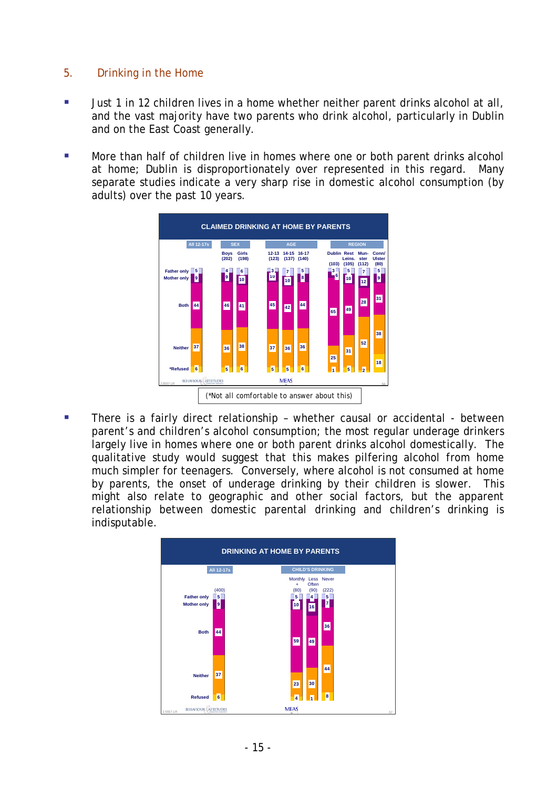## <span id="page-14-0"></span>5. Drinking in the Home

- **Just 1 in 12 children lives in a home whether neither parent drinks alcohol at all,** and the vast majority have two parents who drink alcohol, particularly in Dublin and on the East Coast generally.
- More than half of children live in homes where one or both parent drinks alcohol at home; Dublin is disproportionately over represented in this regard. Many separate studies indicate a very sharp rise in domestic alcohol consumption (by adults) over the past 10 years.



**There is a fairly direct relationship - whether causal or accidental - between** parent's and children's alcohol consumption; the most regular underage drinkers largely live in homes where one or both parent drinks alcohol domestically. The qualitative study would suggest that this makes pilfering alcohol from home much simpler for teenagers. Conversely, where alcohol is not consumed at home by parents, the onset of underage drinking by their children is slower. This might also relate to geographic and other social factors, but the apparent relationship between domestic parental drinking and children's drinking is indisputable.

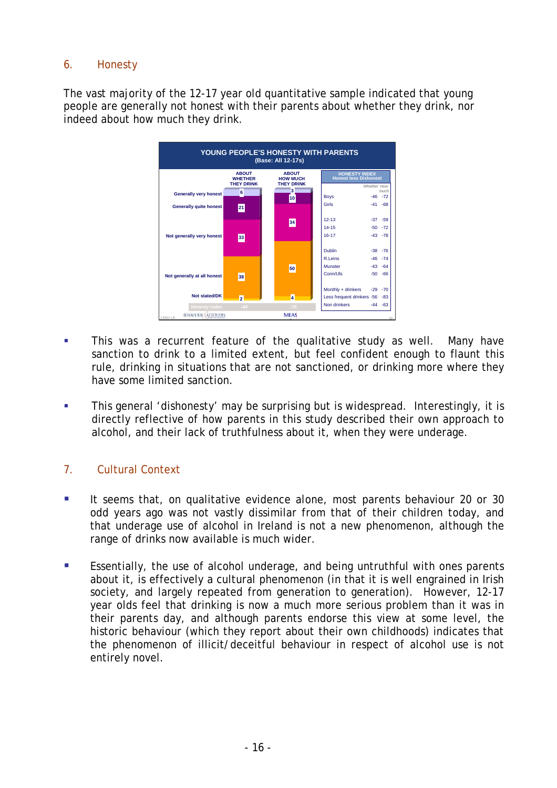# <span id="page-15-0"></span>6. Honesty

The vast majority of the 12-17 year old quantitative sample indicated that young people are generally not honest with their parents about whether they drink, nor indeed about how much they drink.



- This was a recurrent feature of the qualitative study as well. Many have sanction to drink to a limited extent, but feel confident enough to flaunt this rule, drinking in situations that are not sanctioned, or drinking more where they have some limited sanction.
- **This general 'dishonesty' may be surprising but is widespread. Interestingly, it is** directly reflective of how parents in this study described their own approach to alcohol, and their lack of truthfulness about it, when they were underage.

# 7. Cultural Context

- It seems that, on qualitative evidence alone, most parents behaviour 20 or 30 odd years ago was not vastly dissimilar from that of their children today, and that underage use of alcohol in Ireland is not a new phenomenon, although the range of drinks now available is much wider.
- **Essentially, the use of alcohol underage, and being untruthful with ones parents** about it, is effectively a cultural phenomenon (in that it is well engrained in Irish society, and largely repeated from generation to generation). However, 12-17 year olds feel that drinking is now a much more serious problem than it was in their parents day, and although parents endorse this view at some level, the historic behaviour (which they report about their own childhoods) indicates that the phenomenon of illicit/deceitful behaviour in respect of alcohol use is not entirely novel.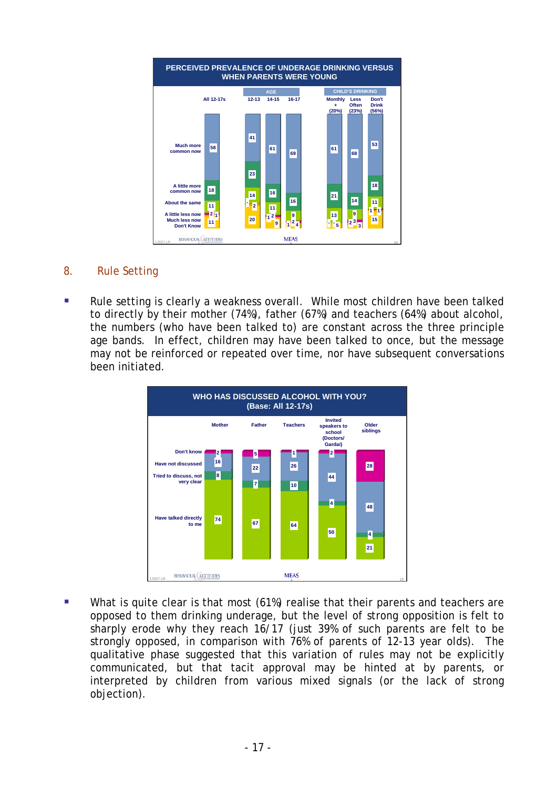<span id="page-16-0"></span>

## 8. Rule Setting

• Rule setting is clearly a weakness overall. While most children have been talked to directly by their mother (74%), father (67%) and teachers (64%) about alcohol, the numbers (who have been talked to) are constant across the three principle age bands. In effect, children may have been talked to once, but the message may not be reinforced or repeated over time, nor have subsequent conversations been initiated.



What is quite clear is that most (61%) realise that their parents and teachers are opposed to them drinking underage, but the level of strong opposition is felt to sharply erode why they reach 16/17 (just 39% of such parents are felt to be strongly opposed, in comparison with 76% of parents of 12-13 year olds). The qualitative phase suggested that this variation of rules may not be explicitly communicated, but that tacit approval may be hinted at by parents, or interpreted by children from various mixed signals (or the lack of strong objection).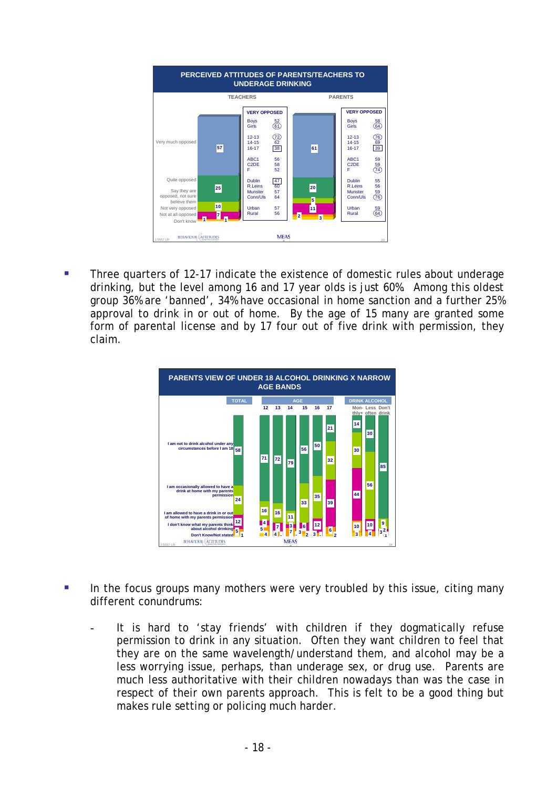

 Three quarters of 12-17 indicate the existence of domestic rules about underage drinking, but the level among 16 and 17 year olds is just 60%. Among this oldest group 36% are 'banned', 34% have occasional in home sanction and a further 25% approval to drink in or out of home. By the age of 15 many are granted some form of parental license and by 17 four out of five drink with permission, they claim.



- In the focus groups many mothers were very troubled by this issue, citing many different conundrums:
	- It is hard to 'stay friends' with children if they dogmatically refuse permission to drink in any situation. Often they want children to feel that they are on the same wavelength/understand them, and alcohol may be a less worrying issue, perhaps, than underage sex, or drug use. Parents are much less authoritative with their children nowadays than was the case in respect of their own parents approach. This is felt to be a good thing but makes rule setting or policing much harder.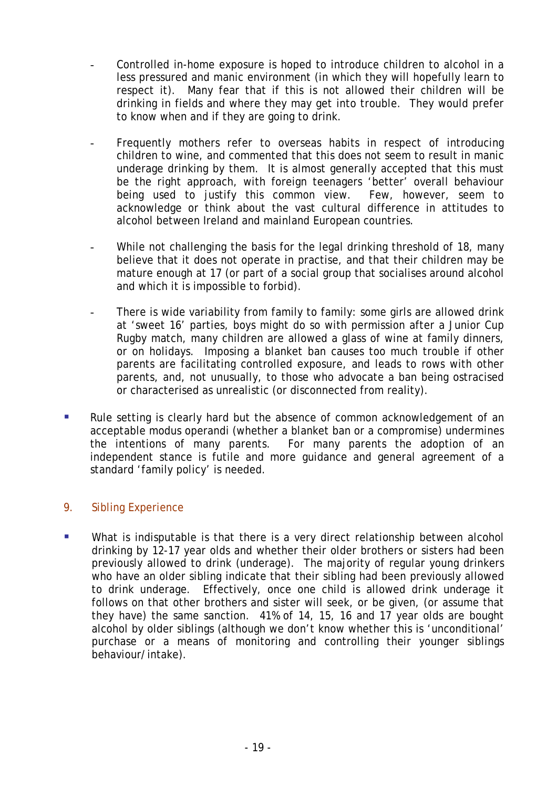- <span id="page-18-0"></span>Controlled in-home exposure is hoped to introduce children to alcohol in a less pressured and manic environment (in which they will hopefully learn to respect it). Many fear that if this is not allowed their children will be drinking in fields and where they may get into trouble. They would prefer to know when and if they are going to drink.
- Frequently mothers refer to overseas habits in respect of introducing children to wine, and commented that this does not seem to result in manic underage drinking by them. It is almost generally accepted that this must be the right approach, with foreign teenagers 'better' overall behaviour being used to justify this common view. Few, however, seem to acknowledge or think about the vast cultural difference in attitudes to alcohol between Ireland and mainland European countries.
- While not challenging the basis for the legal drinking threshold of 18, many believe that it does not operate in practise, and that their children may be mature enough at 17 (or part of a social group that socialises around alcohol and which it is impossible to forbid).
- There is wide variability from family to family: some girls are allowed drink at 'sweet 16' parties, boys might do so with permission after a Junior Cup Rugby match, many children are allowed a glass of wine at family dinners, or on holidays. Imposing a blanket ban causes too much trouble if other parents are facilitating controlled exposure, and leads to rows with other parents, and, not unusually, to those who advocate a ban being ostracised or characterised as unrealistic (or disconnected from reality).
- Rule setting is clearly hard but the absence of common acknowledgement of an acceptable modus operandi (whether a blanket ban or a compromise) undermines the intentions of many parents. For many parents the adoption of an independent stance is futile and more guidance and general agreement of a standard 'family policy' is needed.

# 9. Sibling Experience

**What is indisputable is that there is a very direct relationship between alcohol** drinking by 12-17 year olds and whether their older brothers or sisters had been previously allowed to drink (underage). The majority of regular young drinkers who have an older sibling indicate that their sibling had been previously allowed to drink underage. Effectively, once one child is allowed drink underage it follows on that other brothers and sister will seek, or be given, (or assume that they have) the same sanction. 41% of 14, 15, 16 and 17 year olds are bought alcohol by older siblings (although we don't know whether this is 'unconditional' purchase or a means of monitoring and controlling their younger siblings behaviour/intake).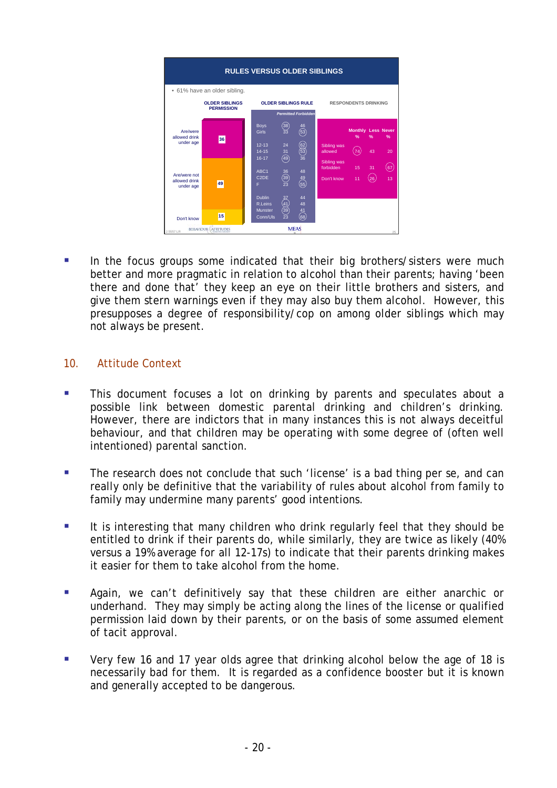<span id="page-19-0"></span>

 In the focus groups some indicated that their big brothers/sisters were much better and more pragmatic in relation to alcohol than their parents; having 'been there and done that' they keep an eye on their little brothers and sisters, and give them stern warnings even if they may also buy them alcohol. However, this presupposes a degree of responsibility/cop on among older siblings which may not always be present.

#### 10. Attitude Context

- **This document focuses a lot on drinking by parents and speculates about a** possible link between domestic parental drinking and children's drinking. However, there are indictors that in many instances this is not always deceitful behaviour, and that children may be operating with some degree of (often well intentioned) parental sanction.
- **The research does not conclude that such 'license' is a bad thing per se, and can** really only be definitive that the variability of rules about alcohol from family to family may undermine many parents' good intentions.
- It is interesting that many children who drink regularly feel that they should be entitled to drink if their parents do, while similarly, they are twice as likely (40% versus a 19% average for all 12-17s) to indicate that their parents drinking makes it easier for them to take alcohol from the home.
- **Again, we can't definitively say that these children are either anarchic or** underhand. They may simply be acting along the lines of the license or qualified permission laid down by their parents, or on the basis of some assumed element of tacit approval.
- Very few 16 and 17 year olds agree that drinking alcohol below the age of 18 is necessarily bad for them. It is regarded as a confidence booster but it is known and generally accepted to be dangerous.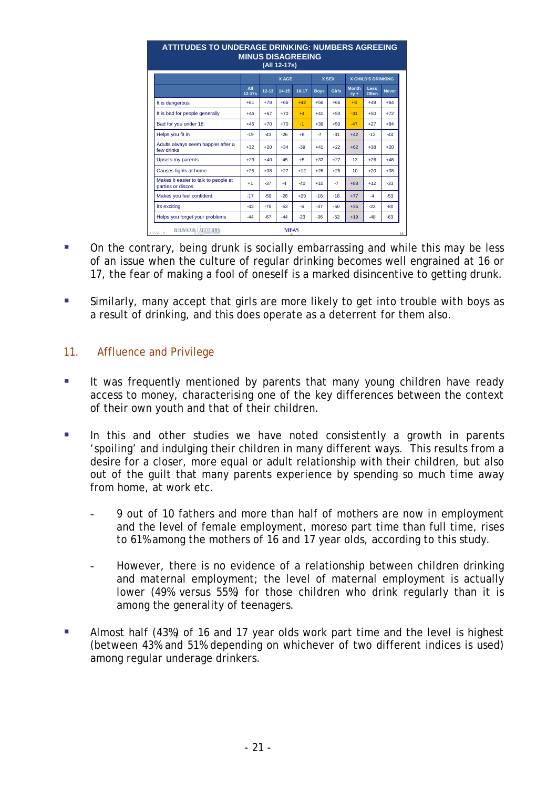<span id="page-20-0"></span>

| <b>ATTITUDES TO UNDERAGE DRINKING: NUMBERS AGREEING</b><br><b>MINUS DISAGREEING</b><br>(All 12-17s) |                   |           |           |       |             |              |                         |                           |              |
|-----------------------------------------------------------------------------------------------------|-------------------|-----------|-----------|-------|-------------|--------------|-------------------------|---------------------------|--------------|
|                                                                                                     |                   | X AGE     |           |       |             | <b>X SEX</b> |                         | <b>X CHILD'S DRINKING</b> |              |
|                                                                                                     | All<br>$12 - 17s$ | $12 - 13$ | $14 - 15$ | 16-17 | <b>Boys</b> | Girls        | <b>Month</b><br>$-1v +$ | Less<br>Often             | <b>Never</b> |
| It is dangerous                                                                                     | $+61$             | $+78$     | $+66$     | $+42$ | $+56$       | $+66$        | $+8$                    | $+48$                     | $+84$        |
| It is bad for people generally                                                                      | $+46$             | $+67$     | $+70$     | $+4$  | $+41$       | $+50$        | $-31$                   | $+50$                     | $+72$        |
| Bad for you under 18                                                                                | $+45$             | $+70$     | $+70$     | $-1$  | $+39$       | $+50$        | $-47$                   | $+27$                     | $+84$        |
| Helps you fit in                                                                                    | $-19$             | $-43$     | $-26$     | $+8$  | $-7$        | $-31$        | $+42$                   | $-12$                     | $-44$        |
| Adults always seem happier after a<br>few drinks                                                    | $+32$             | $+20$     | $+34$     | $-39$ | $+41$       | $+22$        | $+62$                   | $+38$                     | $+20$        |
| Upsets my parents                                                                                   | $+29$             | $+40$     | $-45$     | $+5$  | $+32$       | $+27$        | $-13$                   | $+26$                     | $+46$        |
| Causes fights at home                                                                               | $+25$             | $+38$     | $+27$     | $+12$ | $+26$       | $+25$        | $-10$                   | $+20$                     | $+38$        |
| Makes it easier to talk to people at<br>parties or discos                                           | $+1$              | $-37$     | $-4$      | $-40$ | $+10$       | $-7$         | $+88$                   | $+12$                     | $-33$        |
| Makes you feel confident                                                                            | $-17$             | $-59$     | $-28$     | $+29$ | $-16$       | $-18$        | $+77$                   | $-4$                      | $-53$        |
| Its exciting                                                                                        | $-43$             | $-76$     | $-53$     | $-6$  | $-37$       | $-50$        | $+35$                   | $-22$                     | $-80$        |
| Helps you forget your problems                                                                      | $-44$             | $-67$     | $-44$     | $-23$ | $-36$       | $-52$        | $+19$                   | $-48$                     | $-63$        |

- On the contrary, being drunk is socially embarrassing and while this may be less of an issue when the culture of regular drinking becomes well engrained at 16 or 17, the fear of making a fool of oneself is a marked disincentive to getting drunk.
- Similarly, many accept that girls are more likely to get into trouble with boys as a result of drinking, and this does operate as a deterrent for them also.

## 11. Affluence and Privilege

- It was frequently mentioned by parents that many young children have ready access to money, characterising one of the key differences between the context of their own youth and that of their children.
- In this and other studies we have noted consistently a growth in parents 'spoiling' and indulging their children in many different ways. This results from a desire for a closer, more equal or adult relationship with their children, but also out of the guilt that many parents experience by spending so much time away from home, at work etc.
	- 9 out of 10 fathers and more than half of mothers are now in employment and the level of female employment, moreso part time than full time, rises to 61% among the mothers of 16 and 17 year olds, according to this study.
	- However, there is no evidence of a relationship between children drinking and maternal employment; the level of maternal employment is actually lower (49% versus 55%) for those children who drink regularly than it is among the generality of teenagers.
- Almost half (43%) of 16 and 17 year olds work part time and the level is highest (between 43% and 51% depending on whichever of two different indices is used) among regular underage drinkers.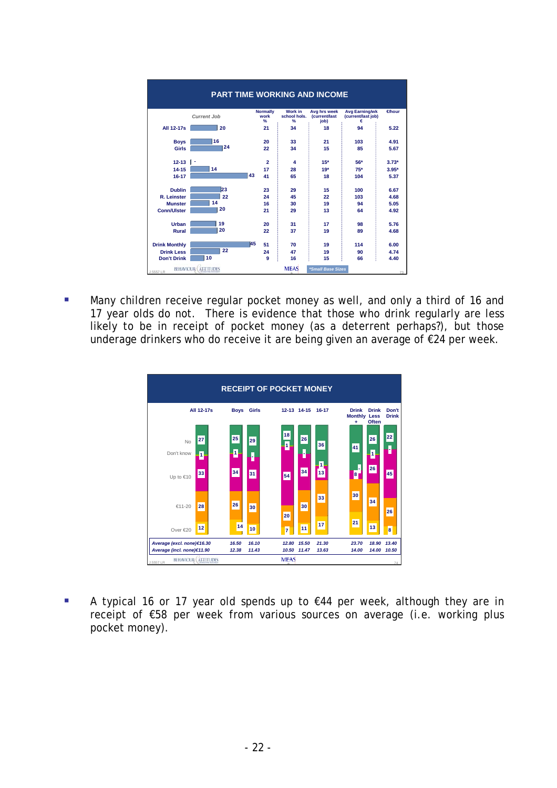| <b>PART TIME WORKING AND INCOME</b> |                             |                              |                                                 |                                       |                                                  |         |  |
|-------------------------------------|-----------------------------|------------------------------|-------------------------------------------------|---------------------------------------|--------------------------------------------------|---------|--|
|                                     | <b>Current Job</b>          | <b>Normally</b><br>work<br>% | <b>Work in</b><br>school hols.<br>$\frac{9}{6}$ | Avg hrs week<br>(current/last<br>iob) | <b>Avg Earning/wk</b><br>(current/last job)<br>€ | ∉hour   |  |
| All 12-17s                          | 20                          | 21                           | 34                                              | 18                                    | 94                                               | 5.22    |  |
| <b>Boys</b>                         | 16                          | 20                           | 33                                              | 21                                    | 103                                              | 4.91    |  |
| Girls                               | 24                          | 22                           | 34                                              | 15                                    | 85                                               | 5.67    |  |
| $12 - 13$   -                       |                             | $\overline{2}$               | $\overline{\mathbf{4}}$                         | $15*$                                 | 56*                                              | $3.73*$ |  |
| $14 - 15$                           | 14                          | 17                           | 28                                              | $19*$                                 | $75*$                                            | $3.95*$ |  |
| $16 - 17$                           |                             | 43<br>41                     | 65                                              | 18                                    | 104                                              | 5.37    |  |
| <b>Dublin</b>                       | 23                          | 23                           | 29                                              | 15                                    | 100                                              | 6.67    |  |
| R. Leinster                         | 22                          | 24                           | 45                                              | 22                                    | 103                                              | 4.68    |  |
| <b>Munster</b>                      | 14                          | 16                           | 30                                              | 19                                    | 94                                               | 5.05    |  |
| <b>Conn/Ulster</b>                  | 20                          | 21                           | 29                                              | 13                                    | 64                                               | 4.92    |  |
| Urban                               | 19                          | 20                           | 31                                              | 17                                    | 98                                               | 5.76    |  |
| Rural                               | 20                          | 22                           | 37                                              | 19                                    | 89                                               | 4.68    |  |
| <b>Drink Monthly</b>                |                             | 145<br>51                    | 70                                              | 19                                    | 114                                              | 6.00    |  |
| <b>Drink Less</b>                   | 22                          | 24                           | 47                                              | 19                                    | 90                                               | 4.74    |  |
| <b>Don't Drink</b>                  | 10                          | 9                            | 16                                              | 15                                    | 66                                               | 4.40    |  |
| J.5557 LR                           | <b>BEHAVIOUR: ALTITUDES</b> |                              | <b>MEAS</b>                                     | *Small Base Sizes                     |                                                  | 73      |  |

Many children receive regular pocket money as well, and only a third of 16 and 17 year olds do not. There is evidence that those who drink regularly are less likely to be in receipt of pocket money (as a deterrent perhaps?), but those underage drinkers who do receive it are being given an average of €24 per week.



 $\overline{\phantom{a}}$ receipt of €58 per week from various sources on average (i.e. working plus pocket money). A typical 16 or 17 year old spends up to €44 per week, although they are in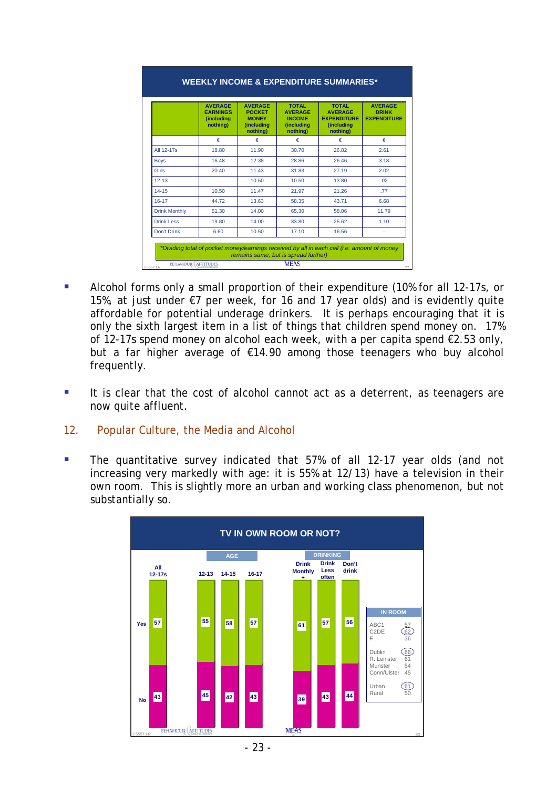<span id="page-22-0"></span>

|                      | <b>AVERAGE</b><br><b>EARNINGS</b><br><i><b>(including)</b></i><br>nothing) | <b>AVERAGE</b><br><b>POCKET</b><br><b>MONEY</b><br>(including<br>nothing) | <b>TOTAL</b><br><b>AVERAGE</b><br><b>INCOME</b><br>(including<br>nothing) | <b>TOTAL</b><br><b>AVERAGE</b><br><b>EXPENDITURE</b><br>(including<br>nothing) | <b>AVERAGE</b><br><b>DRINK</b><br><b>EXPENDITURE</b> |
|----------------------|----------------------------------------------------------------------------|---------------------------------------------------------------------------|---------------------------------------------------------------------------|--------------------------------------------------------------------------------|------------------------------------------------------|
|                      | €                                                                          | €                                                                         | €                                                                         | €                                                                              | €                                                    |
| All 12-17s           | 18.80                                                                      | 11.90                                                                     | 30.70                                                                     | 26.82                                                                          | 2.61                                                 |
| <b>Boys</b>          | 16.48                                                                      | 12.38                                                                     | 28.86                                                                     | 26.46                                                                          | 3.18                                                 |
| Girls                | 20.40                                                                      | 11.43                                                                     | 31.83                                                                     | 27.19                                                                          | 2.02                                                 |
| $12 - 13$            |                                                                            | 10.50                                                                     | 10.50                                                                     | 13.80                                                                          | .02                                                  |
| $14 - 15$            | 10.50                                                                      | 11.47                                                                     | 21.97                                                                     | 21.26                                                                          | .77                                                  |
| $16 - 17$            | 44.72                                                                      | 13.63                                                                     | 58.35                                                                     | 43.71                                                                          | 6.68                                                 |
| <b>Drink Monthly</b> | 51.30                                                                      | 14.00                                                                     | 65.30                                                                     | 58.06                                                                          | 11.79                                                |
| <b>Drink Less</b>    | 19.80                                                                      | 14.00                                                                     | 33.80                                                                     | 25.62                                                                          | 1.10                                                 |
| Don't Drink          | 6.60                                                                       | 10.50                                                                     | 17.10                                                                     | 16.56                                                                          |                                                      |

- **Alcohol forms only a small proportion of their expenditure (10% for all 12-17s, or** 15%, at just under €7 per week, for 16 and 17 year olds) and is evidently quite affordable for potential underage drinkers. It is perhaps encouraging that it is only the sixth largest item in a list of things that children spend money on. 17% of 12-17s spend money on alcohol each week, with a per capita spend  $\epsilon$ 2.53 only, but a far higher average of €14.90 among those teenagers who buy alcohol frequently.
- It is clear that the cost of alcohol cannot act as a deterrent, as teenagers are now quite affluent.
- 12. Popular Culture, the Media and Alcohol
- **The quantitative survey indicated that 57% of all 12-17 year olds (and not** increasing very markedly with age: it is 55% at 12/13) have a television in their own room. This is slightly more an urban and working class phenomenon, but not substantially so.

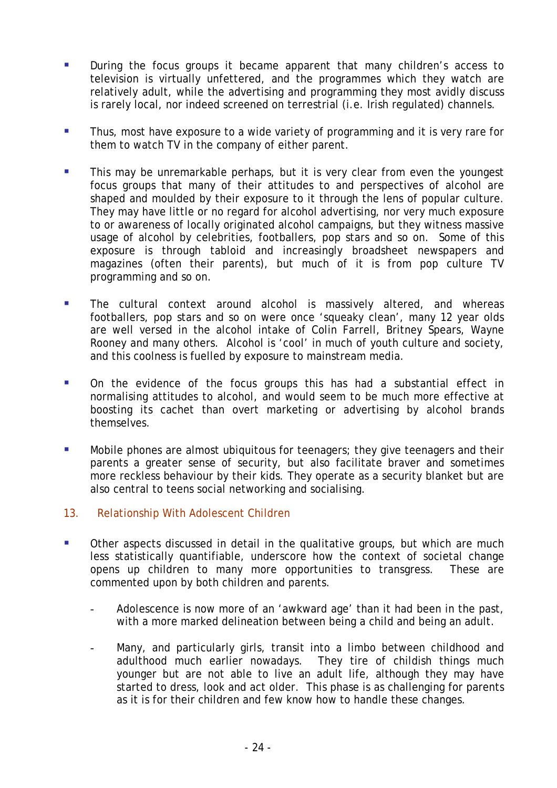- <span id="page-23-0"></span> During the focus groups it became apparent that many children's access to television is virtually unfettered, and the programmes which they watch are relatively adult, while the advertising and programming they most avidly discuss is rarely local, nor indeed screened on terrestrial (i.e. Irish regulated) channels.
- **Thus, most have exposure to a wide variety of programming and it is very rare for** them to watch TV in the company of either parent.
- This may be unremarkable perhaps, but it is very clear from even the youngest focus groups that many of their attitudes to and perspectives of alcohol are shaped and moulded by their exposure to it through the lens of popular culture. They may have little or no regard for alcohol advertising, nor very much exposure to or awareness of locally originated alcohol campaigns, but they witness massive usage of alcohol by celebrities, footballers, pop stars and so on. Some of this exposure is through tabloid and increasingly broadsheet newspapers and magazines (often their parents), but much of it is from pop culture TV programming and so on.
- **The cultural context around alcohol is massively altered, and whereas** footballers, pop stars and so on were once 'squeaky clean', many 12 year olds are well versed in the alcohol intake of Colin Farrell, Britney Spears, Wayne Rooney and many others. Alcohol is 'cool' in much of youth culture and society, and this coolness is fuelled by exposure to mainstream media.
- **•** On the evidence of the focus groups this has had a substantial effect in normalising attitudes to alcohol, and would seem to be much more effective at boosting its cachet than overt marketing or advertising by alcohol brands themselves.
- Mobile phones are almost ubiquitous for teenagers; they give teenagers and their parents a greater sense of security, but also facilitate braver and sometimes more reckless behaviour by their kids. They operate as a security blanket but are also central to teens social networking and socialising.
- 13. Relationship With Adolescent Children
- Other aspects discussed in detail in the qualitative groups, but which are much less statistically quantifiable, underscore how the context of societal change opens up children to many more opportunities to transgress. These are commented upon by both children and parents.
	- Adolescence is now more of an 'awkward age' than it had been in the past, with a more marked delineation between being a child and being an adult.
	- Many, and particularly girls, transit into a limbo between childhood and adulthood much earlier nowadays. They tire of childish things much younger but are not able to live an adult life, although they may have started to dress, look and act older. This phase is as challenging for parents as it is for their children and few know how to handle these changes.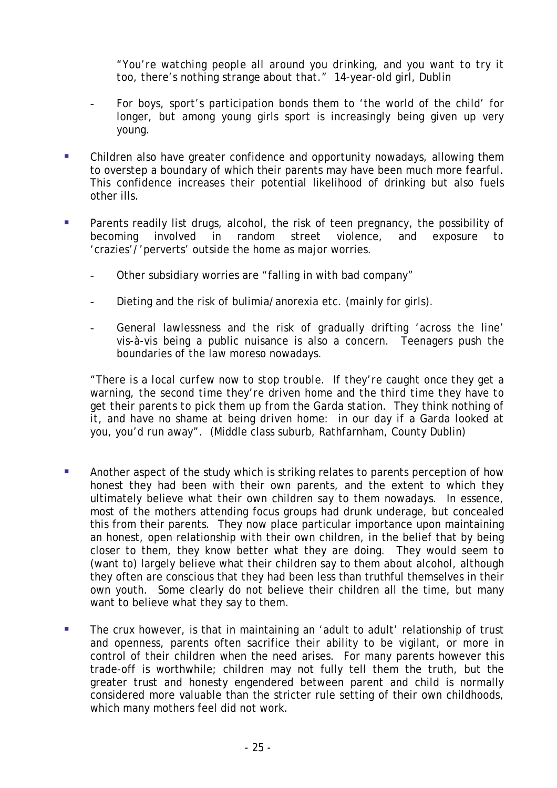*"You're watching people all around you drinking, and you want to try it too, there's nothing strange about that."* 14-year-old girl, Dublin

- For boys, sport's participation bonds them to 'the world of the child' for longer, but among young girls sport is increasingly being given up very young.
- Children also have greater confidence and opportunity nowadays, allowing them to overstep a boundary of which their parents may have been much more fearful. This confidence increases their potential likelihood of drinking but also fuels other ills.
- **Parents readily list drugs, alcohol, the risk of teen pregnancy, the possibility of** becoming involved in random street violence, and exposure to 'crazies'/'perverts' outside the home as major worries.
	- Other subsidiary worries are "falling in with bad company"
	- Dieting and the risk of bulimia/anorexia etc. (mainly for girls).
	- General lawlessness and the risk of gradually drifting 'across the line' vis-à-vis being a public nuisance is also a concern. Teenagers push the boundaries of the law moreso nowadays.

*"There is a local curfew now to stop trouble. If they're caught once they get a warning, the second time they're driven home and the third time they have to get their parents to pick them up from the Garda station. They think nothing of it, and have no shame at being driven home: in our day if a Garda looked at you, you'd run away".* (Middle class suburb, Rathfarnham, County Dublin)

- Another aspect of the study which is striking relates to parents perception of how honest they had been with their own parents, and the extent to which they ultimately believe what their own children say to them nowadays. In essence, most of the mothers attending focus groups had drunk underage, but concealed this from their parents. They now place particular importance upon maintaining an honest, open relationship with their own children, in the belief that by being closer to them, they know better what they are doing. They would seem to (want to) largely believe what their children say to them about alcohol, although they often are conscious that they had been less than truthful themselves in their own youth. Some clearly do not believe their children all the time, but many want to believe what they say to them.
- **The crux however, is that in maintaining an 'adult to adult' relationship of trust** and openness, parents often sacrifice their ability to be vigilant, or more in control of their children when the need arises. For many parents however this trade-off is worthwhile; children may not fully tell them the truth, but the greater trust and honesty engendered between parent and child is normally considered more valuable than the stricter rule setting of their own childhoods, which many mothers feel did not work.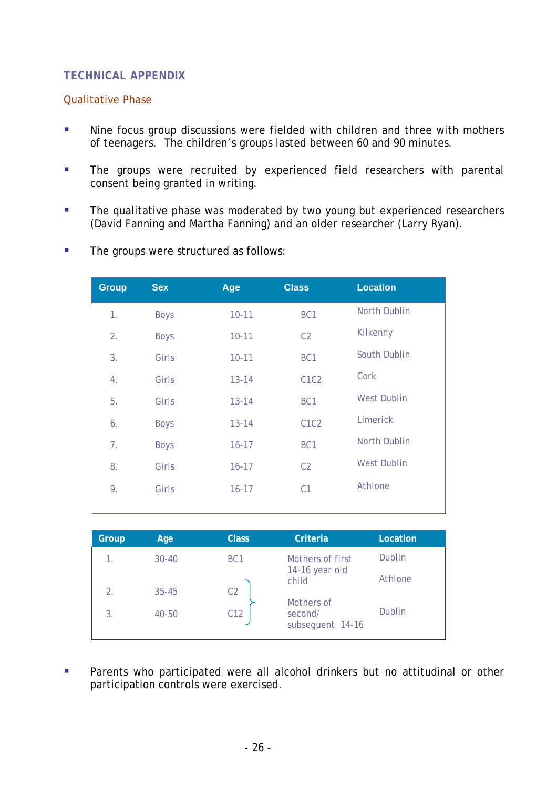# <span id="page-25-0"></span>**TECHNICAL APPENDIX**

## Qualitative Phase

- **Nine focus group discussions were fielded with children and three with mothers** of teenagers. The children's groups lasted between 60 and 90 minutes.
- **The groups were recruited by experienced field researchers with parental** consent being granted in writing.
- The qualitative phase was moderated by two young but experienced researchers (David Fanning and Martha Fanning) and an older researcher (Larry Ryan).
- **The groups were structured as follows:**

| <b>Group</b> | <b>Sex</b>  | Age       | <b>Class</b>                  | <b>Location</b>    |
|--------------|-------------|-----------|-------------------------------|--------------------|
| 1.           | <b>Boys</b> | $10 - 11$ | BC <sub>1</sub>               | North Dublin       |
| 2.           | <b>Boys</b> | $10 - 11$ | C <sub>2</sub>                | Kilkenny           |
| 3.           | Girls       | $10 - 11$ | BC <sub>1</sub>               | South Dublin       |
| 4.           | Girls       | $13 - 14$ | C <sub>1</sub> C <sub>2</sub> | Cork               |
| 5.           | Girls       | $13 - 14$ | BC <sub>1</sub>               | <b>West Dublin</b> |
| 6.           | <b>Boys</b> | $13 - 14$ | C <sub>1</sub> C <sub>2</sub> | Limerick           |
| 7.           | <b>Boys</b> | $16 - 17$ | BC <sub>1</sub>               | North Dublin       |
| 8.           | Girls       | $16 - 17$ | C <sub>2</sub>                | <b>West Dublin</b> |
| 9.           | Girls       | $16 - 17$ | C <sub>1</sub>                | Athlone            |
|              |             |           |                               |                    |

| Group | Age       | <b>Class</b>    | Criteria                                  | Location      |
|-------|-----------|-----------------|-------------------------------------------|---------------|
|       | $30 - 40$ | BC <sub>1</sub> | Mothers of first                          | Dublin        |
| 2.    | $35 - 45$ | C <sub>2</sub>  | 14-16 year old<br>child                   | Athlone       |
| 3.    | $40 - 50$ | C <sub>12</sub> | Mothers of<br>second/<br>subsequent 14-16 | <b>Dublin</b> |

**Parents who participated were all alcohol drinkers but no attitudinal or other** participation controls were exercised.